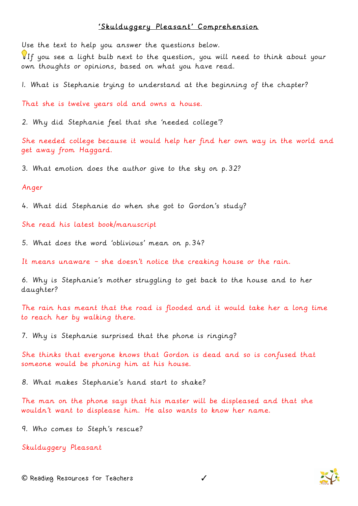## 'Skulduggery Pleasant' Comprehension

Use the text to help you answer the questions below.

If you see a light bulb next to the question, you will need to think about your own thoughts or opinions, based on what you have read.

1. What is Stephanie trying to understand at the beginning of the chapter?

That she is twelve years old and owns a house.

2. Why did Stephanie feel that she 'needed college'?

She needed college because it would help her find her own way in the world and get away from Haggard.

3. What emotion does the author give to the sky on p.32?

## Anger

4. What did Stephanie do when she got to Gordon's study?

She read his latest book/manuscript

5. What does the word 'oblivious' mean on p.34?

It means unaware – she doesn't notice the creaking house or the rain.

6. Why is Stephanie's mother struggling to get back to the house and to her daughter?

The rain has meant that the road is flooded and it would take her a long time to reach her by walking there.

7. Why is Stephanie surprised that the phone is ringing?

She thinks that everyone knows that Gordon is dead and so is confused that someone would be phoning him at his house.

8. What makes Stephanie's hand start to shake?

The man on the phone says that his master will be displeased and that she wouldn't want to displease him. He also wants to know her name.

9. Who comes to Steph's rescue?

Skulduggery Pleasant